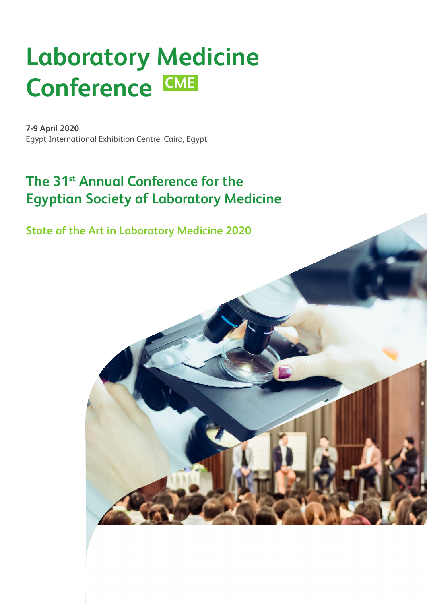# **Laboratory Medicine**  Conference CME

**7-9 April 2020**  Egypt International Exhibition Centre, Cairo, Egypt

# **The 31st Annual Conference for the Egyptian Society of Laboratory Medicine**

**State of the Art in Laboratory Medicine 2020**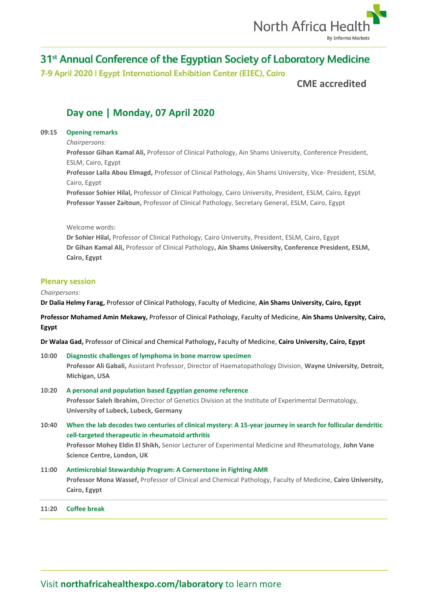

7-9 April 2020 | Egypt International Exhibition Center (EIEC), Cairo

**CME accredited**

# **Day one | Monday, 07 April 2020**

## **09:15 Opening remarks**

*Chairpersons:*

**Professor Gihan Kamal Ali,** Professor of Clinical Pathology, Ain Shams University, Conference President, ESLM, Cairo, Egypt

**Professor Laila Abou Elmagd,** Professor of Clinical Pathology, Ain Shams University, Vice- President, ESLM, Cairo, Egypt

**Professor Sohier Hilal,** Professor of Clinical Pathology, Cairo University, President, ESLM, Cairo, Egypt **Professor Yasser Zaitoun,** Professor of Clinical Pathology, Secretary General, ESLM, Cairo, Egypt

Welcome words:

**Dr Sohier Hilal,** Professor of Clinical Pathology, Cairo University, President, ESLM, Cairo, Egypt **Dr Gihan Kamal Ali,** Professor of Clinical Pathology**, Ain Shams University, Conference President, ESLM, Cairo, Egypt**

## **Plenary session**

#### *Chairpersons:*

**Dr Dalia Helmy Farag,** Professor of Clinical Pathology, Faculty of Medicine, **Ain Shams University, Cairo, Egypt**

**Professor Mohamed Amin Mekawy,** Professor of Clinical Pathology, Faculty of Medicine, **Ain Shams University, Cairo, Egypt**

**Dr Walaa Gad,** Professor of Clinical and Chemical Pathology**,** Faculty of Medicine, **Cairo University, Cairo, Egypt**

- **10:00 Diagnostic challenges of lymphoma in bone marrow specimen Professor Ali Gabali,** Assistant Professor, Director of Haematopathology Division, **Wayne University, Detroit, Michigan, USA 10:20 A personal and population based Egyptian genome reference Professor Saleh Ibrahim,** Director of Genetics Division at the Institute of Experimental Dermatology, **University of Lubeck, Lubeck, Germany**
- **10:40 When the lab decodes two centuries of clinical mystery: A 15-year journey in search for follicular dendritic cell-targeted therapeutic in rheumatoid arthritis Professor Mohey Eldin El Shikh,** Senior Lecturer of Experimental Medicine and Rheumatology, **John Vane Science Centre, London, UK**

# **11:00 Antimicrobial Stewardship Program: A Cornerstone in Fighting AMR Professor Mona Wassef,** Professor of Clinical and Chemical Pathology, Faculty of Medicine, **Cairo University, Cairo, Egypt**

#### **11:20 Coffee break**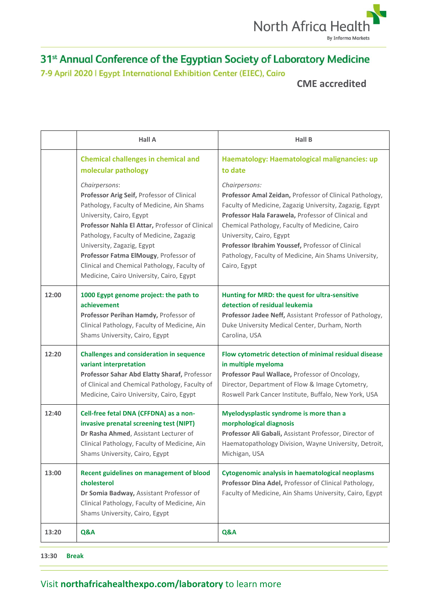

7-9 April 2020 | Egypt International Exhibition Center (EIEC), Cairo

# **CME accredited**

|       | <b>Hall A</b>                                                                                                                                                                                                                                                                                                                                                                                        | <b>Hall B</b>                                                                                                                                                                                                                                                                                                                                                                                        |
|-------|------------------------------------------------------------------------------------------------------------------------------------------------------------------------------------------------------------------------------------------------------------------------------------------------------------------------------------------------------------------------------------------------------|------------------------------------------------------------------------------------------------------------------------------------------------------------------------------------------------------------------------------------------------------------------------------------------------------------------------------------------------------------------------------------------------------|
|       | <b>Chemical challenges in chemical and</b><br>molecular pathology                                                                                                                                                                                                                                                                                                                                    | Haematology: Haematological malignancies: up<br>to date                                                                                                                                                                                                                                                                                                                                              |
|       | Chairpersons:<br>Professor Arig Seif, Professor of Clinical<br>Pathology, Faculty of Medicine, Ain Shams<br>University, Cairo, Egypt<br>Professor Nahla El Attar, Professor of Clinical<br>Pathology, Faculty of Medicine, Zagazig<br>University, Zagazig, Egypt<br>Professor Fatma ElMougy, Professor of<br>Clinical and Chemical Pathology, Faculty of<br>Medicine, Cairo University, Cairo, Egypt | Chairpersons:<br>Professor Amal Zeidan, Professor of Clinical Pathology,<br>Faculty of Medicine, Zagazig University, Zagazig, Egypt<br>Professor Hala Farawela, Professor of Clinical and<br>Chemical Pathology, Faculty of Medicine, Cairo<br>University, Cairo, Egypt<br>Professor Ibrahim Youssef, Professor of Clinical<br>Pathology, Faculty of Medicine, Ain Shams University,<br>Cairo, Egypt |
| 12:00 | 1000 Egypt genome project: the path to<br>achievement<br>Professor Perihan Hamdy, Professor of<br>Clinical Pathology, Faculty of Medicine, Ain<br>Shams University, Cairo, Egypt                                                                                                                                                                                                                     | Hunting for MRD: the quest for ultra-sensitive<br>detection of residual leukemia<br>Professor Jadee Neff, Assistant Professor of Pathology,<br>Duke University Medical Center, Durham, North<br>Carolina, USA                                                                                                                                                                                        |
| 12:20 | <b>Challenges and consideration in sequence</b><br>variant interpretation<br>Professor Sahar Abd Elatty Sharaf, Professor<br>of Clinical and Chemical Pathology, Faculty of<br>Medicine, Cairo University, Cairo, Egypt                                                                                                                                                                              | Flow cytometric detection of minimal residual disease<br>in multiple myeloma<br>Professor Paul Wallace, Professor of Oncology,<br>Director, Department of Flow & Image Cytometry,<br>Roswell Park Cancer Institute, Buffalo, New York, USA                                                                                                                                                           |
| 12:40 | Cell-free fetal DNA (CFFDNA) as a non-<br>invasive prenatal screening test (NIPT)<br>Dr Rasha Ahmed, Assistant Lecturer of<br>Clinical Pathology, Faculty of Medicine, Ain<br>Shams University, Cairo, Egypt                                                                                                                                                                                         | Myelodysplastic syndrome is more than a<br>morphological diagnosis<br>Professor Ali Gabali, Assistant Professor, Director of<br>Haematopathology Division, Wayne University, Detroit,<br>Michigan, USA                                                                                                                                                                                               |
| 13:00 | <b>Recent guidelines on management of blood</b><br>cholesterol<br>Dr Somia Badway, Assistant Professor of<br>Clinical Pathology, Faculty of Medicine, Ain<br>Shams University, Cairo, Egypt                                                                                                                                                                                                          | <b>Cytogenomic analysis in haematological neoplasms</b><br>Professor Dina Adel, Professor of Clinical Pathology,<br>Faculty of Medicine, Ain Shams University, Cairo, Egypt                                                                                                                                                                                                                          |
| 13:20 | Q&A                                                                                                                                                                                                                                                                                                                                                                                                  | Q&A                                                                                                                                                                                                                                                                                                                                                                                                  |

**13:30 Break**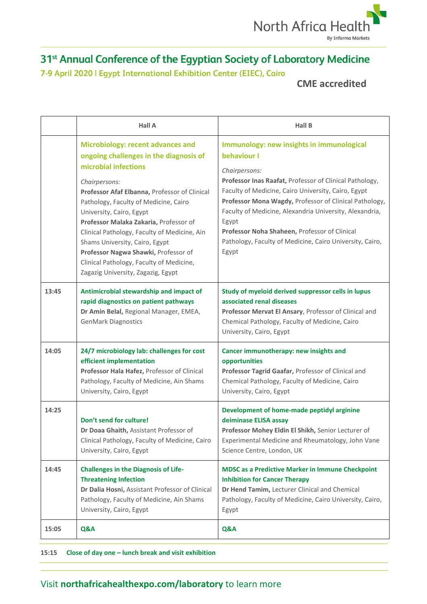

7-9 April 2020 | Egypt International Exhibition Center (EIEC), Cairo

# **CME accredited**

|       | <b>Hall A</b>                                                                                                                                                                                                                                                                                                                                                                                                                                                                                           | <b>Hall B</b>                                                                                                                                                                                                                                                                                                                                                                                                                                   |
|-------|---------------------------------------------------------------------------------------------------------------------------------------------------------------------------------------------------------------------------------------------------------------------------------------------------------------------------------------------------------------------------------------------------------------------------------------------------------------------------------------------------------|-------------------------------------------------------------------------------------------------------------------------------------------------------------------------------------------------------------------------------------------------------------------------------------------------------------------------------------------------------------------------------------------------------------------------------------------------|
|       | <b>Microbiology: recent advances and</b><br>ongoing challenges in the diagnosis of<br>microbial infections<br>Chairpersons:<br>Professor Afaf Elbanna, Professor of Clinical<br>Pathology, Faculty of Medicine, Cairo<br>University, Cairo, Egypt<br>Professor Malaka Zakaria, Professor of<br>Clinical Pathology, Faculty of Medicine, Ain<br>Shams University, Cairo, Egypt<br>Professor Nagwa Shawki, Professor of<br>Clinical Pathology, Faculty of Medicine,<br>Zagazig University, Zagazig, Egypt | Immunology: new insights in immunological<br>behaviour I<br>Chairpersons:<br>Professor Inas Raafat, Professor of Clinical Pathology,<br>Faculty of Medicine, Cairo University, Cairo, Egypt<br>Professor Mona Wagdy, Professor of Clinical Pathology,<br>Faculty of Medicine, Alexandria University, Alexandria,<br>Egypt<br>Professor Noha Shaheen, Professor of Clinical<br>Pathology, Faculty of Medicine, Cairo University, Cairo,<br>Egypt |
| 13:45 | Antimicrobial stewardship and impact of<br>rapid diagnostics on patient pathways<br>Dr Amin Belal, Regional Manager, EMEA,<br><b>GenMark Diagnostics</b>                                                                                                                                                                                                                                                                                                                                                | Study of myeloid derived suppressor cells in lupus<br>associated renal diseases<br>Professor Mervat El Ansary, Professor of Clinical and<br>Chemical Pathology, Faculty of Medicine, Cairo<br>University, Cairo, Egypt                                                                                                                                                                                                                          |
| 14:05 | 24/7 microbiology lab: challenges for cost<br>efficient implementation<br>Professor Hala Hafez, Professor of Clinical<br>Pathology, Faculty of Medicine, Ain Shams<br>University, Cairo, Egypt                                                                                                                                                                                                                                                                                                          | Cancer immunotherapy: new insights and<br>opportunities<br>Professor Tagrid Gaafar, Professor of Clinical and<br>Chemical Pathology, Faculty of Medicine, Cairo<br>University, Cairo, Egypt                                                                                                                                                                                                                                                     |
| 14:25 | Don't send for culture!<br>Dr Doaa Ghaith, Assistant Professor of<br>Clinical Pathology, Faculty of Medicine, Cairo<br>University, Cairo, Egypt                                                                                                                                                                                                                                                                                                                                                         | Development of home-made peptidyl arginine<br>deiminase ELISA assay<br>Professor Mohey Eldin El Shikh, Senior Lecturer of<br>Experimental Medicine and Rheumatology, John Vane<br>Science Centre, London, UK                                                                                                                                                                                                                                    |
| 14:45 | <b>Challenges in the Diagnosis of Life-</b><br><b>Threatening Infection</b><br>Dr Dalia Hosni, Assistant Professor of Clinical<br>Pathology, Faculty of Medicine, Ain Shams<br>University, Cairo, Egypt                                                                                                                                                                                                                                                                                                 | <b>MDSC as a Predictive Marker in Immune Checkpoint</b><br><b>Inhibition for Cancer Therapy</b><br>Dr Hend Tamim, Lecturer Clinical and Chemical<br>Pathology, Faculty of Medicine, Cairo University, Cairo,<br>Egypt                                                                                                                                                                                                                           |
| 15:05 | Q&A                                                                                                                                                                                                                                                                                                                                                                                                                                                                                                     | Q&A                                                                                                                                                                                                                                                                                                                                                                                                                                             |

**15:15 Close of day one – lunch break and visit exhibition**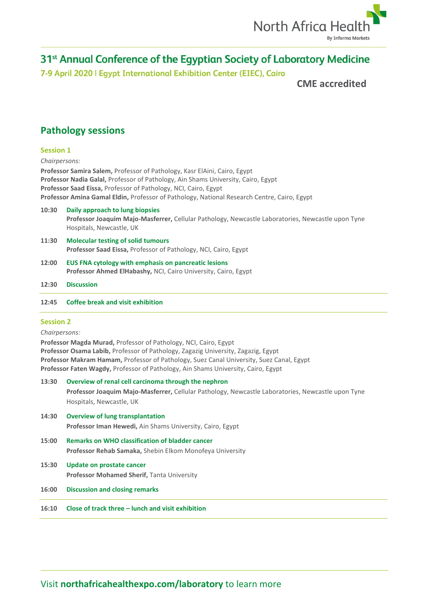

7-9 April 2020 | Egypt International Exhibition Center (EIEC), Cairo

**CME accredited**

# **Pathology sessions**

## **Session 1**

#### *Chairpersons:*

**Professor Samira Salem,** Professor of Pathology, Kasr ElAini, Cairo, Egypt **Professor Nadia Galal,** Professor of Pathology, Ain Shams University, Cairo, Egypt **Professor Saad Eissa,** Professor of Pathology, NCI, Cairo, Egypt **Professor Amina Gamal Eldin,** Professor of Pathology, National Research Centre, Cairo, Egypt

- **10:30 Daily approach to lung biopsies Professor Joaquim Majo-Masferrer,** Cellular Pathology, Newcastle Laboratories, Newcastle upon Tyne Hospitals, Newcastle, UK
- **11:30 Molecular testing of solid tumours Professor Saad Eissa,** Professor of Pathology, NCI, Cairo, Egypt
- **12:00 EUS FNA cytology with emphasis on pancreatic lesions Professor Ahmed ElHabashy,** NCI, Cairo University, Cairo, Egypt
- **12:30 Discussion**
- **12:45 Coffee break and visit exhibition**

## **Session 2**

*Chairpersons:*

**Professor Magda Murad,** Professor of Pathology, NCI, Cairo, Egypt **Professor Osama Labib,** Professor of Pathology, Zagazig University, Zagazig, Egypt **Professor Makram Hamam,** Professor of Pathology, Suez Canal University, Suez Canal, Egypt **Professor Faten Wagdy,** Professor of Pathology, Ain Shams University, Cairo, Egypt

- **13:30 Overview of renal cell carcinoma through the nephron Professor Joaquim Majo-Masferrer,** Cellular Pathology, Newcastle Laboratories, Newcastle upon Tyne Hospitals, Newcastle, UK **14:30 Overview of lung transplantation Professor Iman Hewedi,** Ain Shams University, Cairo, Egypt **15:00 Remarks on WHO classification of bladder cancer Professor Rehab Samaka,** Shebin Elkom Monofeya University **15:30 Update on prostate cancer Professor Mohamed Sherif,** Tanta University **16:00 Discussion and closing remarks**
- 
- **16:10 Close of track three – lunch and visit exhibition**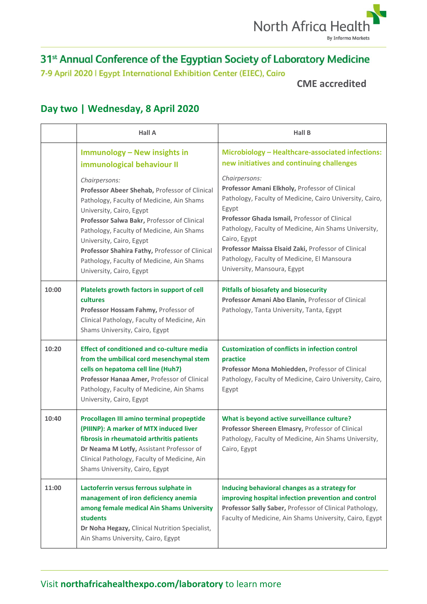

7-9 April 2020 | Egypt International Exhibition Center (EIEC), Cairo

**CME accredited**

# **Day two | Wednesday, 8 April 2020**

|       | <b>Hall A</b>                                                                                                                                                                                                                                                                                                                                                                              | <b>Hall B</b>                                                                                                                                                                                                                                                                                                                                                                                       |
|-------|--------------------------------------------------------------------------------------------------------------------------------------------------------------------------------------------------------------------------------------------------------------------------------------------------------------------------------------------------------------------------------------------|-----------------------------------------------------------------------------------------------------------------------------------------------------------------------------------------------------------------------------------------------------------------------------------------------------------------------------------------------------------------------------------------------------|
|       | <b>Immunology - New insights in</b><br>immunological behaviour II                                                                                                                                                                                                                                                                                                                          | Microbiology - Healthcare-associated infections:<br>new initiatives and continuing challenges                                                                                                                                                                                                                                                                                                       |
|       | Chairpersons:<br>Professor Abeer Shehab, Professor of Clinical<br>Pathology, Faculty of Medicine, Ain Shams<br>University, Cairo, Egypt<br>Professor Salwa Bakr, Professor of Clinical<br>Pathology, Faculty of Medicine, Ain Shams<br>University, Cairo, Egypt<br>Professor Shahira Fathy, Professor of Clinical<br>Pathology, Faculty of Medicine, Ain Shams<br>University, Cairo, Egypt | Chairpersons:<br>Professor Amani Elkholy, Professor of Clinical<br>Pathology, Faculty of Medicine, Cairo University, Cairo,<br>Egypt<br>Professor Ghada Ismail, Professor of Clinical<br>Pathology, Faculty of Medicine, Ain Shams University,<br>Cairo, Egypt<br>Professor Maissa Elsaid Zaki, Professor of Clinical<br>Pathology, Faculty of Medicine, El Mansoura<br>University, Mansoura, Egypt |
| 10:00 | Platelets growth factors in support of cell<br><b>cultures</b><br>Professor Hossam Fahmy, Professor of<br>Clinical Pathology, Faculty of Medicine, Ain<br>Shams University, Cairo, Egypt                                                                                                                                                                                                   | <b>Pitfalls of biosafety and biosecurity</b><br>Professor Amani Abo Elanin, Professor of Clinical<br>Pathology, Tanta University, Tanta, Egypt                                                                                                                                                                                                                                                      |
| 10:20 | <b>Effect of conditioned and co-culture media</b><br>from the umbilical cord mesenchymal stem<br>cells on hepatoma cell line (Huh7)<br>Professor Hanaa Amer, Professor of Clinical<br>Pathology, Faculty of Medicine, Ain Shams<br>University, Cairo, Egypt                                                                                                                                | <b>Customization of conflicts in infection control</b><br>practice<br>Professor Mona Mohiedden, Professor of Clinical<br>Pathology, Faculty of Medicine, Cairo University, Cairo,<br>Egypt                                                                                                                                                                                                          |
| 10:40 | Procollagen III amino terminal propeptide<br>(PIIINP): A marker of MTX induced liver<br>fibrosis in rheumatoid arthritis patients<br>Dr Neama M Lotfy, Assistant Professor of<br>Clinical Pathology, Faculty of Medicine, Ain<br>Shams University, Cairo, Egypt                                                                                                                            | What is beyond active surveillance culture?<br>Professor Shereen Elmasry, Professor of Clinical<br>Pathology, Faculty of Medicine, Ain Shams University,<br>Cairo, Egypt                                                                                                                                                                                                                            |
| 11:00 | Lactoferrin versus ferrous sulphate in<br>management of iron deficiency anemia<br>among female medical Ain Shams University<br>students<br>Dr Noha Hegazy, Clinical Nutrition Specialist,<br>Ain Shams University, Cairo, Egypt                                                                                                                                                            | Inducing behavioral changes as a strategy for<br>improving hospital infection prevention and control<br>Professor Sally Saber, Professor of Clinical Pathology,<br>Faculty of Medicine, Ain Shams University, Cairo, Egypt                                                                                                                                                                          |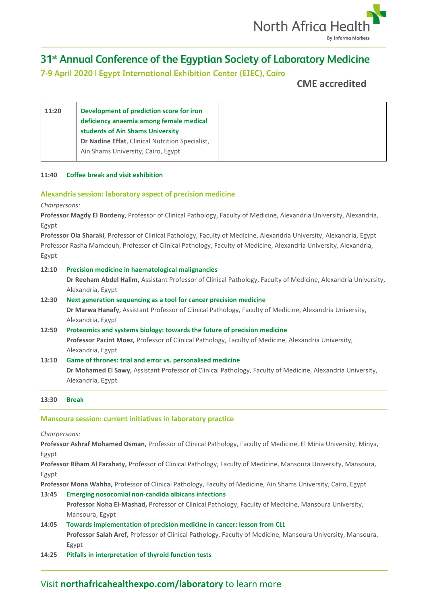

7-9 April 2020 | Egypt International Exhibition Center (EIEC), Cairo

**CME accredited**

## **11:40 Coffee break and visit exhibition**

## **Alexandria session: laboratory aspect of precision medicine**

*Chairpersons:*

**Professor Magdy El Bordeny**, Professor of Clinical Pathology, Faculty of Medicine, Alexandria University, Alexandria, Egypt

**Professor Ola Sharaki**, Professor of Clinical Pathology, Faculty of Medicine, Alexandria University, Alexandria, Egypt Professor Rasha Mamdouh, Professor of Clinical Pathology, Faculty of Medicine, Alexandria University, Alexandria, Egypt

## **12:10 Precision medicine in haematological malignancies**

**Dr Reeham Abdel Halim,** Assistant Professor of Clinical Pathology, Faculty of Medicine, Alexandria University, Alexandria, Egypt

## **12:30 Next generation sequencing as a tool for cancer precision medicine**

**Dr Marwa Hanafy,** Assistant Professor of Clinical Pathology, Faculty of Medicine, Alexandria University, Alexandria, Egypt

# **12:50 Proteomics and systems biology: towards the future of precision medicine**

**Professor Pacint Moez,** Professor of Clinical Pathology, Faculty of Medicine, Alexandria University, Alexandria, Egypt

## **13:10 Game of thrones: trial and error vs. personalised medicine**

**Dr Mohamed El Sawy,** Assistant Professor of Clinical Pathology, Faculty of Medicine, Alexandria University, Alexandria, Egypt

## **13:30 Break**

## **Mansoura session: current initiatives in laboratory practice**

*Chairpersons:*

**Professor Ashraf Mohamed Osman,** Professor of Clinical Pathology, Faculty of Medicine, El Minia University, Minya, Egypt

**Professor Riham Al Farahaty,** Professor of Clinical Pathology, Faculty of Medicine, Mansoura University, Mansoura, Egypt

**Professor Mona Wahba,** Professor of Clinical Pathology, Faculty of Medicine, Ain Shams University, Cairo, Egypt

## **13:45 Emerging nosocomial non-candida albicans infections Professor Noha El-Mashad,** Professor of Clinical Pathology, Faculty of Medicine, Mansoura University, Mansoura, Egypt **14:05 Towards implementation of precision medicine in cancer: lesson from CLL**

# **Professor Salah Aref,** Professor of Clinical Pathology, Faculty of Medicine, Mansoura University, Mansoura, Egypt

**14:25 Pitfalls in interpretation of thyroid function tests**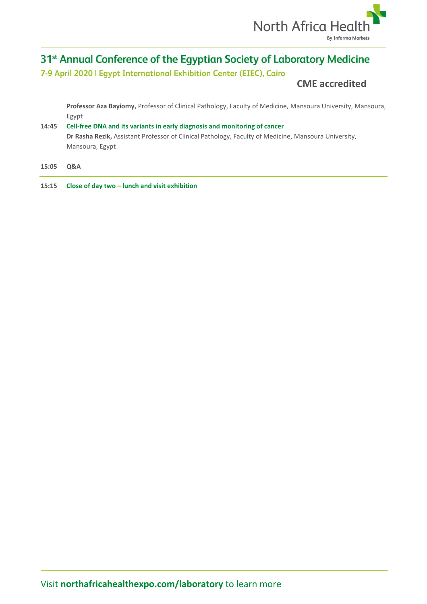

7-9 April 2020 | Egypt International Exhibition Center (EIEC), Cairo

# **CME accredited**

**Professor Aza Bayiomy,** Professor of Clinical Pathology, Faculty of Medicine, Mansoura University, Mansoura, Egypt

# **14:45 Cell-free DNA and its variants in early diagnosis and monitoring of cancer Dr Rasha Rezik,** Assistant Professor of Clinical Pathology, Faculty of Medicine, Mansoura University, Mansoura, Egypt

**15:05 Q&A**

**15:15 Close of day two – lunch and visit exhibition**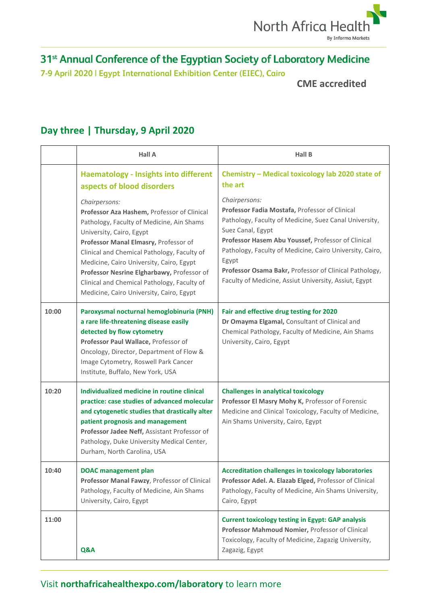

7-9 April 2020 | Egypt International Exhibition Center (EIEC), Cairo

**CME accredited**

|       | <b>Hall A</b>                                                                                                                                                                                                                                                                                                                                                                                                      | <b>Hall B</b>                                                                                                                                                                                                                                                                                                                                                                                |
|-------|--------------------------------------------------------------------------------------------------------------------------------------------------------------------------------------------------------------------------------------------------------------------------------------------------------------------------------------------------------------------------------------------------------------------|----------------------------------------------------------------------------------------------------------------------------------------------------------------------------------------------------------------------------------------------------------------------------------------------------------------------------------------------------------------------------------------------|
|       | <b>Haematology - Insights into different</b><br>aspects of blood disorders                                                                                                                                                                                                                                                                                                                                         | Chemistry - Medical toxicology lab 2020 state of<br>the art                                                                                                                                                                                                                                                                                                                                  |
|       | Chairpersons:<br>Professor Aza Hashem, Professor of Clinical<br>Pathology, Faculty of Medicine, Ain Shams<br>University, Cairo, Egypt<br>Professor Manal Elmasry, Professor of<br>Clinical and Chemical Pathology, Faculty of<br>Medicine, Cairo University, Cairo, Egypt<br>Professor Nesrine Elgharbawy, Professor of<br>Clinical and Chemical Pathology, Faculty of<br>Medicine, Cairo University, Cairo, Egypt | Chairpersons:<br>Professor Fadia Mostafa, Professor of Clinical<br>Pathology, Faculty of Medicine, Suez Canal University,<br>Suez Canal, Egypt<br>Professor Hasem Abu Youssef, Professor of Clinical<br>Pathology, Faculty of Medicine, Cairo University, Cairo,<br>Egypt<br>Professor Osama Bakr, Professor of Clinical Pathology,<br>Faculty of Medicine, Assiut University, Assiut, Egypt |
| 10:00 | Paroxysmal nocturnal hemoglobinuria (PNH)<br>a rare life-threatening disease easily<br>detected by flow cytometry<br>Professor Paul Wallace, Professor of<br>Oncology, Director, Department of Flow &<br>Image Cytometry, Roswell Park Cancer<br>Institute, Buffalo, New York, USA                                                                                                                                 | Fair and effective drug testing for 2020<br>Dr Omayma Elgamal, Consultant of Clinical and<br>Chemical Pathology, Faculty of Medicine, Ain Shams<br>University, Cairo, Egypt                                                                                                                                                                                                                  |
| 10:20 | Individualized medicine in routine clinical<br>practice: case studies of advanced molecular<br>and cytogenetic studies that drastically alter<br>patient prognosis and management<br>Professor Jadee Neff, Assistant Professor of<br>Pathology, Duke University Medical Center,<br>Durham, North Carolina, USA                                                                                                     | <b>Challenges in analytical toxicology</b><br>Professor El Masry Mohy K, Professor of Forensic<br>Medicine and Clinical Toxicology, Faculty of Medicine,<br>Ain Shams University, Cairo, Egypt                                                                                                                                                                                               |
| 10:40 | <b>DOAC</b> management plan<br>Professor Manal Fawzy, Professor of Clinical<br>Pathology, Faculty of Medicine, Ain Shams<br>University, Cairo, Egypt                                                                                                                                                                                                                                                               | <b>Accreditation challenges in toxicology laboratories</b><br>Professor Adel. A. Elazab Elged, Professor of Clinical<br>Pathology, Faculty of Medicine, Ain Shams University,<br>Cairo, Egypt                                                                                                                                                                                                |
| 11:00 | Q&A                                                                                                                                                                                                                                                                                                                                                                                                                | <b>Current toxicology testing in Egypt: GAP analysis</b><br>Professor Mahmoud Nomier, Professor of Clinical<br>Toxicology, Faculty of Medicine, Zagazig University,<br>Zagazig, Egypt                                                                                                                                                                                                        |

# **Day three | Thursday, 9 April 2020**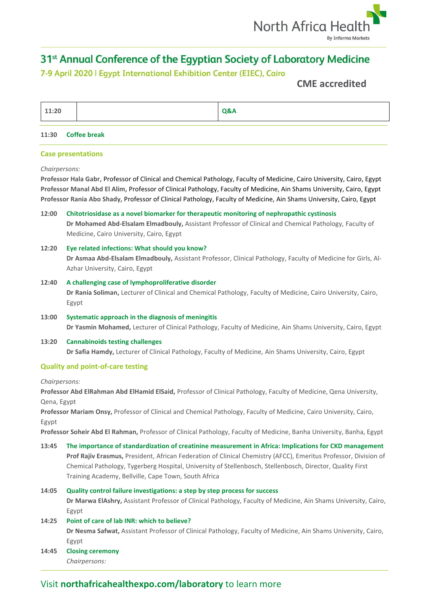

# 7-9 April 2020 | Egypt International Exhibition Center (EIEC), Cairo

# **CME accredited**

| 11:20 | Q&A |
|-------|-----|

#### **11:30 Coffee break**

## **Case presentations**

#### *Chairpersons:*

**Professor Hala Gabr,** Professor of Clinical and Chemical Pathology, Faculty of Medicine, Cairo University, Cairo, Egypt **Professor Manal Abd El Alim,** Professor of Clinical Pathology, Faculty of Medicine, Ain Shams University, Cairo, Egypt **Professor Rania Abo Shady,** Professor of Clinical Pathology, Faculty of Medicine, Ain Shams University, Cairo, Egypt

## **12:00 Chitotriosidase as a novel biomarker for therapeutic monitoring of nephropathic cystinosis Dr Mohamed Abd-Elsalam Elmadbouly,** Assistant Professor of Clinical and Chemical Pathology, Faculty of Medicine, Cairo University, Cairo, Egypt

# **12:20 Eye related infections: What should you know? Dr Asmaa Abd-Elsalam Elmadbouly,** Assistant Professor, Clinical Pathology, Faculty of Medicine for Girls, Al-Azhar University, Cairo, Egypt

## **12:40 A challenging case of lymphoproliferative disorder Dr Rania Soliman,** Lecturer of Clinical and Chemical Pathology, Faculty of Medicine, Cairo University, Cairo, Egypt

**13:00 Systematic approach in the diagnosis of meningitis Dr Yasmin Mohamed,** Lecturer of Clinical Pathology, Faculty of Medicine, Ain Shams University, Cairo, Egypt

## **13:20 Cannabinoids testing challenges Dr Safia Hamdy,** Lecturer of Clinical Pathology, Faculty of Medicine, Ain Shams University, Cairo, Egypt

## **Quality and point-of-care testing**

*Chairpersons:*

**Professor Abd ElRahman Abd ElHamid ElSaid,** Professor of Clinical Pathology, Faculty of Medicine, Qena University, Qena, Egypt

**Professor Mariam Onsy,** Professor of Clinical and Chemical Pathology, Faculty of Medicine, Cairo University, Cairo, Egypt

**Professor Soheir Abd El Rahman,** Professor of Clinical Pathology, Faculty of Medicine, Banha University, Banha, Egypt

**13:45 The importance of standardization of creatinine measurement in Africa: Implications for CKD management Prof Rajiv Erasmus,** President, African Federation of Clinical Chemistry (AFCC), Emeritus Professor, Division of Chemical Pathology, Tygerberg Hospital, University of Stellenbosch, Stellenbosch, Director, Quality First Training Academy, Bellville, Cape Town, South Africa

## **14:05 Quality control failure investigations: a step by step process for success**

**Dr Marwa ElAshry,** Assistant Professor of Clinical Pathology, Faculty of Medicine, Ain Shams University, Cairo, Egypt

## **14:25 Point of care of lab INR: which to believe?**

**Dr Nesma Safwat,** Assistant Professor of Clinical Pathology, Faculty of Medicine, Ain Shams University, Cairo, Egypt

**14:45 Closing ceremony** *Chairpersons:*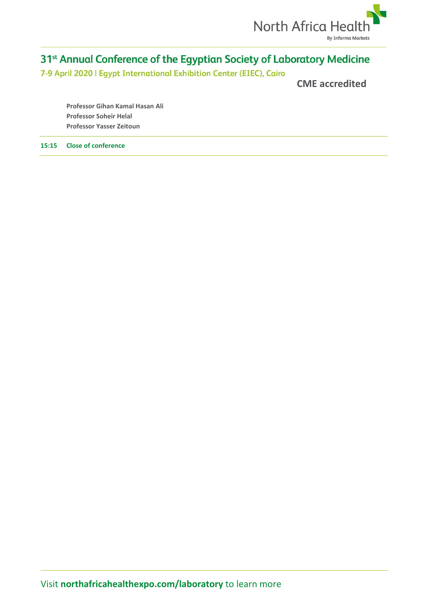

7-9 April 2020 | Egypt International Exhibition Center (EIEC), Cairo

**CME accredited**

**Professor Gihan Kamal Hasan Ali Professor Soheir Helal Professor Yasser Zeitoun**

**15:15 Close of conference**